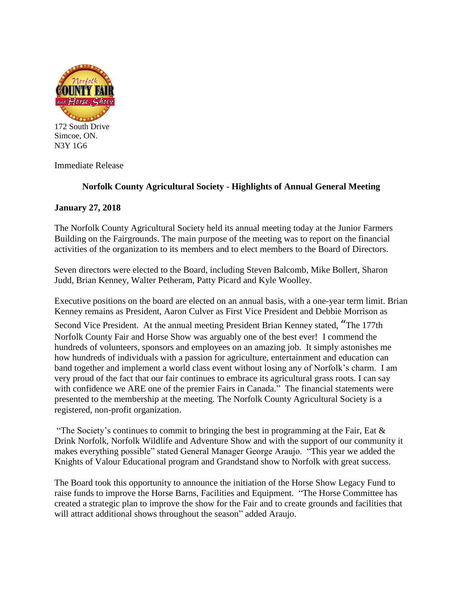

172 South Drive Simcoe, ON. N3Y 1G6

Immediate Release

## **Norfolk County Agricultural Society - Highlights of Annual General Meeting**

## **January 27, 2018**

The Norfolk County Agricultural Society held its annual meeting today at the Junior Farmers Building on the Fairgrounds. The main purpose of the meeting was to report on the financial activities of the organization to its members and to elect members to the Board of Directors.

Seven directors were elected to the Board, including Steven Balcomb, Mike Bollert, Sharon Judd, Brian Kenney, Walter Petheram, Patty Picard and Kyle Woolley.

Executive positions on the board are elected on an annual basis, with a one-year term limit. Brian Kenney remains as President, Aaron Culver as First Vice President and Debbie Morrison as

Second Vice President. At the annual meeting President Brian Kenney stated, "The 177th Norfolk County Fair and Horse Show was arguably one of the best ever! I commend the hundreds of volunteers, sponsors and employees on an amazing job. It simply astonishes me how hundreds of individuals with a passion for agriculture, entertainment and education can band together and implement a world class event without losing any of Norfolk's charm. I am very proud of the fact that our fair continues to embrace its agricultural grass roots. I can say with confidence we ARE one of the premier Fairs in Canada." The financial statements were presented to the membership at the meeting. The Norfolk County Agricultural Society is a registered, non-profit organization.

"The Society's continues to commit to bringing the best in programming at the Fair, Eat  $\&$ Drink Norfolk, Norfolk Wildlife and Adventure Show and with the support of our community it makes everything possible" stated General Manager George Araujo. "This year we added the Knights of Valour Educational program and Grandstand show to Norfolk with great success.

The Board took this opportunity to announce the initiation of the Horse Show Legacy Fund to raise funds to improve the Horse Barns, Facilities and Equipment. "The Horse Committee has created a strategic plan to improve the show for the Fair and to create grounds and facilities that will attract additional shows throughout the season" added Araujo.